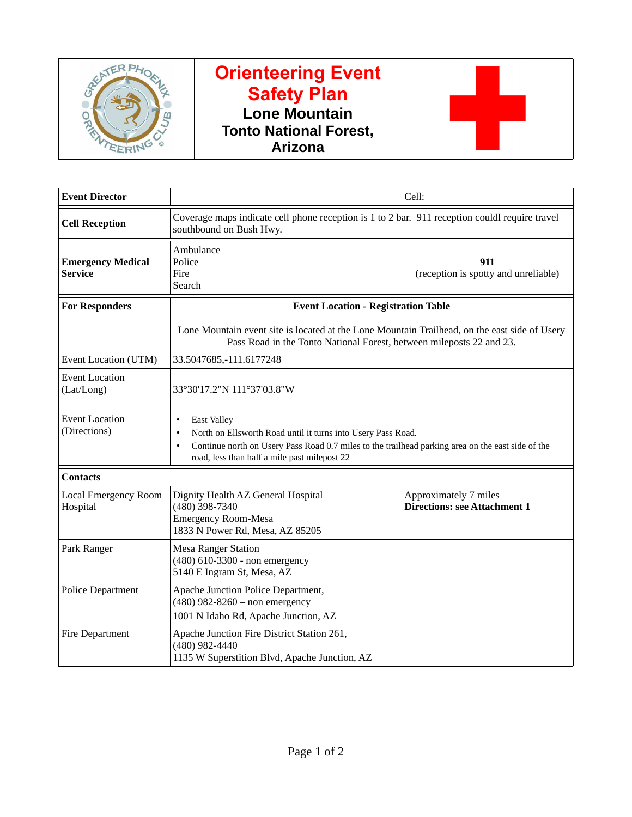

## **Orienteering Event Safety Plan Lone Mountain Tonto National Forest, Arizona**



| <b>Event Director</b>                      |                                                                                                                                                                                                                                                                                | Cell:                                                        |  |
|--------------------------------------------|--------------------------------------------------------------------------------------------------------------------------------------------------------------------------------------------------------------------------------------------------------------------------------|--------------------------------------------------------------|--|
| <b>Cell Reception</b>                      | Coverage maps indicate cell phone reception is 1 to 2 bar. 911 reception couldl require travel<br>southbound on Bush Hwy.                                                                                                                                                      |                                                              |  |
| <b>Emergency Medical</b><br><b>Service</b> | Ambulance<br>Police<br>Fire<br>Search                                                                                                                                                                                                                                          | 911<br>(reception is spotty and unreliable)                  |  |
| <b>For Responders</b>                      | <b>Event Location - Registration Table</b>                                                                                                                                                                                                                                     |                                                              |  |
|                                            | Lone Mountain event site is located at the Lone Mountain Trailhead, on the east side of Usery<br>Pass Road in the Tonto National Forest, between mileposts 22 and 23.                                                                                                          |                                                              |  |
| Event Location (UTM)                       | 33.5047685,-111.6177248                                                                                                                                                                                                                                                        |                                                              |  |
| <b>Event Location</b><br>(Lat/Long)        | 33°30'17.2"N 111°37'03.8"W                                                                                                                                                                                                                                                     |                                                              |  |
| <b>Event Location</b><br>(Directions)      | <b>East Valley</b><br>$\bullet$<br>North on Ellsworth Road until it turns into Usery Pass Road.<br>$\bullet$<br>Continue north on Usery Pass Road 0.7 miles to the trailhead parking area on the east side of the<br>$\bullet$<br>road, less than half a mile past milepost 22 |                                                              |  |
| <b>Contacts</b>                            |                                                                                                                                                                                                                                                                                |                                                              |  |
| Local Emergency Room<br>Hospital           | Dignity Health AZ General Hospital<br>(480) 398-7340<br><b>Emergency Room-Mesa</b><br>1833 N Power Rd, Mesa, AZ 85205                                                                                                                                                          | Approximately 7 miles<br><b>Directions: see Attachment 1</b> |  |
| Park Ranger                                | <b>Mesa Ranger Station</b><br>(480) 610-3300 - non emergency<br>5140 E Ingram St, Mesa, AZ                                                                                                                                                                                     |                                                              |  |
| <b>Police Department</b>                   | Apache Junction Police Department,<br>$(480)$ 982-8260 - non emergency<br>1001 N Idaho Rd, Apache Junction, AZ                                                                                                                                                                 |                                                              |  |
| Fire Department                            | Apache Junction Fire District Station 261,<br>(480) 982-4440<br>1135 W Superstition Blvd, Apache Junction, AZ                                                                                                                                                                  |                                                              |  |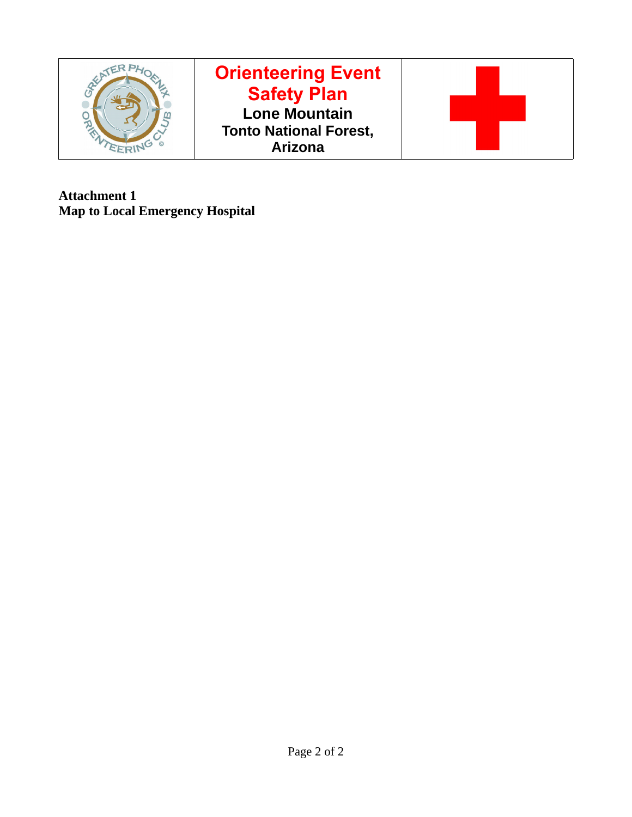

**Attachment 1 Map to Local Emergency Hospital**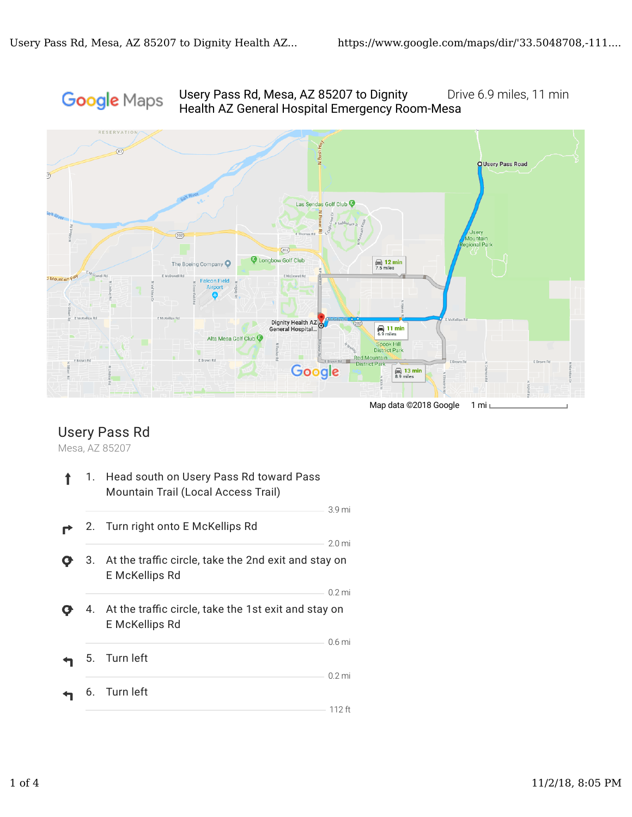## Usery Pass Rd, Mesa, AZ 85207 to Dignity Drive 6.9 miles, 11 min Google Maps Health AZ General Hospital Emergency Room-Mesa



## Usery Pass Rd

Mesa, AZ 85207

| 1. | Head south on Usery Pass Rd toward Pass<br>Mountain Trail (Local Access Trail)   |                               |
|----|----------------------------------------------------------------------------------|-------------------------------|
|    | 2. Turn right onto E McKellips Rd                                                | 3.9 mi                        |
| 3. | At the traffic circle, take the 2nd exit and stay on<br>E McKellips Rd           | 2.0 <sub>mi</sub>             |
|    | 4. At the traffic circle, take the 1st exit and stay on<br><b>E</b> McKellips Rd | $0.2$ mi                      |
|    | 5. Turn left                                                                     | 0.6 <sub>mi</sub><br>$0.2$ mi |
| 6. | Turn left                                                                        | $112$ ft                      |
|    |                                                                                  |                               |